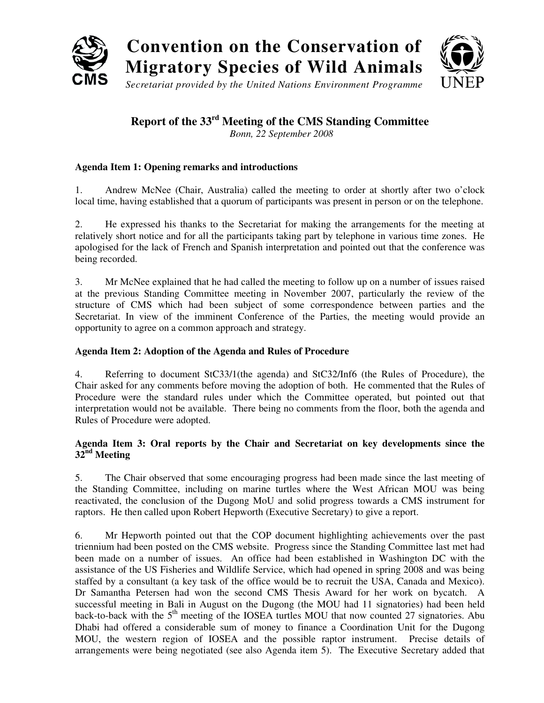

# **Convention on the Conservation of Migratory Species of Wild Animals**



*Secretariat provided by the United Nations Environment Programme*

## **Report of the 33rd Meeting of the CMS Standing Committee**

*Bonn, 22 September 2008*

#### **Agenda Item 1: Opening remarks and introductions**

1. Andrew McNee (Chair, Australia) called the meeting to order at shortly after two o'clock local time, having established that a quorum of participants was present in person or on the telephone.

2. He expressed his thanks to the Secretariat for making the arrangements for the meeting at relatively short notice and for all the participants taking part by telephone in various time zones. He apologised for the lack of French and Spanish interpretation and pointed out that the conference was being recorded.

3. Mr McNee explained that he had called the meeting to follow up on a number of issues raised at the previous Standing Committee meeting in November 2007, particularly the review of the structure of CMS which had been subject of some correspondence between parties and the Secretariat. In view of the imminent Conference of the Parties, the meeting would provide an opportunity to agree on a common approach and strategy.

#### **Agenda Item 2: Adoption of the Agenda and Rules of Procedure**

4. Referring to document StC33/1(the agenda) and StC32/Inf6 (the Rules of Procedure), the Chair asked for any comments before moving the adoption of both. He commented that the Rules of Procedure were the standard rules under which the Committee operated, but pointed out that interpretation would not be available. There being no comments from the floor, both the agenda and Rules of Procedure were adopted.

#### **Agenda Item 3: Oral reports by the Chair and Secretariat on key developments since the 32nd Meeting**

5. The Chair observed that some encouraging progress had been made since the last meeting of the Standing Committee, including on marine turtles where the West African MOU was being reactivated, the conclusion of the Dugong MoU and solid progress towards a CMS instrument for raptors. He then called upon Robert Hepworth (Executive Secretary) to give a report.

6. Mr Hepworth pointed out that the COP document highlighting achievements over the past triennium had been posted on the CMS website. Progress since the Standing Committee last met had been made on a number of issues. An office had been established in Washington DC with the assistance of the US Fisheries and Wildlife Service, which had opened in spring 2008 and was being staffed by a consultant (a key task of the office would be to recruit the USA, Canada and Mexico). Dr Samantha Petersen had won the second CMS Thesis Award for her work on bycatch. A successful meeting in Bali in August on the Dugong (the MOU had 11 signatories) had been held back-to-back with the  $5<sup>th</sup>$  meeting of the IOSEA turtles MOU that now counted 27 signatories. Abu Dhabi had offered a considerable sum of money to finance a Coordination Unit for the Dugong MOU, the western region of IOSEA and the possible raptor instrument. Precise details of arrangements were being negotiated (see also Agenda item 5). The Executive Secretary added that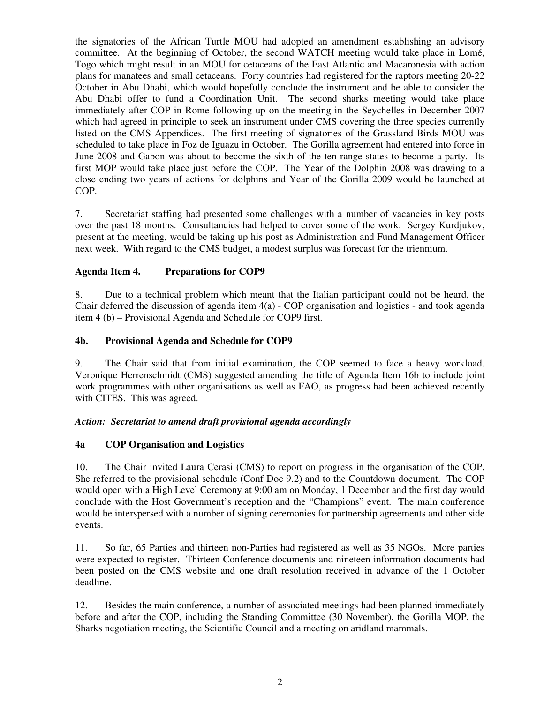the signatories of the African Turtle MOU had adopted an amendment establishing an advisory committee. At the beginning of October, the second WATCH meeting would take place in Lomé, Togo which might result in an MOU for cetaceans of the East Atlantic and Macaronesia with action plans for manatees and small cetaceans. Forty countries had registered for the raptors meeting 20-22 October in Abu Dhabi, which would hopefully conclude the instrument and be able to consider the Abu Dhabi offer to fund a Coordination Unit. The second sharks meeting would take place immediately after COP in Rome following up on the meeting in the Seychelles in December 2007 which had agreed in principle to seek an instrument under CMS covering the three species currently listed on the CMS Appendices. The first meeting of signatories of the Grassland Birds MOU was scheduled to take place in Foz de Iguazu in October. The Gorilla agreement had entered into force in June 2008 and Gabon was about to become the sixth of the ten range states to become a party. Its first MOP would take place just before the COP. The Year of the Dolphin 2008 was drawing to a close ending two years of actions for dolphins and Year of the Gorilla 2009 would be launched at COP.

7. Secretariat staffing had presented some challenges with a number of vacancies in key posts over the past 18 months. Consultancies had helped to cover some of the work. Sergey Kurdjukov, present at the meeting, would be taking up his post as Administration and Fund Management Officer next week. With regard to the CMS budget, a modest surplus was forecast for the triennium.

#### **Agenda Item 4. Preparations for COP9**

8. Due to a technical problem which meant that the Italian participant could not be heard, the Chair deferred the discussion of agenda item 4(a) - COP organisation and logistics - and took agenda item 4 (b) – Provisional Agenda and Schedule for COP9 first.

#### **4b. Provisional Agenda and Schedule for COP9**

9. The Chair said that from initial examination, the COP seemed to face a heavy workload. Veronique Herrenschmidt (CMS) suggested amending the title of Agenda Item 16b to include joint work programmes with other organisations as well as FAO, as progress had been achieved recently with CITES. This was agreed.

#### *Action: Secretariat to amend draft provisional agenda accordingly*

#### **4a COP Organisation and Logistics**

10. The Chair invited Laura Cerasi (CMS) to report on progress in the organisation of the COP. She referred to the provisional schedule (Conf Doc 9.2) and to the Countdown document. The COP would open with a High Level Ceremony at 9:00 am on Monday, 1 December and the first day would conclude with the Host Government's reception and the "Champions" event. The main conference would be interspersed with a number of signing ceremonies for partnership agreements and other side events.

11. So far, 65 Parties and thirteen non-Parties had registered as well as 35 NGOs. More parties were expected to register. Thirteen Conference documents and nineteen information documents had been posted on the CMS website and one draft resolution received in advance of the 1 October deadline.

12. Besides the main conference, a number of associated meetings had been planned immediately before and after the COP, including the Standing Committee (30 November), the Gorilla MOP, the Sharks negotiation meeting, the Scientific Council and a meeting on aridland mammals.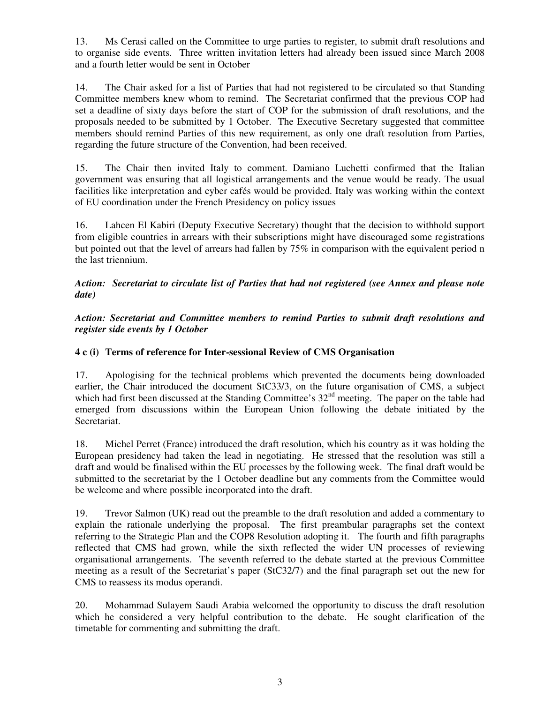13. Ms Cerasi called on the Committee to urge parties to register, to submit draft resolutions and to organise side events. Three written invitation letters had already been issued since March 2008 and a fourth letter would be sent in October

14. The Chair asked for a list of Parties that had not registered to be circulated so that Standing Committee members knew whom to remind. The Secretariat confirmed that the previous COP had set a deadline of sixty days before the start of COP for the submission of draft resolutions, and the proposals needed to be submitted by 1 October. The Executive Secretary suggested that committee members should remind Parties of this new requirement, as only one draft resolution from Parties, regarding the future structure of the Convention, had been received.

15. The Chair then invited Italy to comment. Damiano Luchetti confirmed that the Italian government was ensuring that all logistical arrangements and the venue would be ready. The usual facilities like interpretation and cyber cafés would be provided. Italy was working within the context of EU coordination under the French Presidency on policy issues

16. Lahcen El Kabiri (Deputy Executive Secretary) thought that the decision to withhold support from eligible countries in arrears with their subscriptions might have discouraged some registrations but pointed out that the level of arrears had fallen by 75% in comparison with the equivalent period n the last triennium.

#### *Action: Secretariat to circulate list of Parties that had not registered (see Annex and please note date)*

*Action: Secretariat and Committee members to remind Parties to submit draft resolutions and register side events by 1 October*

#### **4 c (i) Terms of reference for Inter-sessional Review of CMS Organisation**

17. Apologising for the technical problems which prevented the documents being downloaded earlier, the Chair introduced the document StC33/3, on the future organisation of CMS, a subject which had first been discussed at the Standing Committee's  $32<sup>nd</sup>$  meeting. The paper on the table had emerged from discussions within the European Union following the debate initiated by the Secretariat.

18. Michel Perret (France) introduced the draft resolution, which his country as it was holding the European presidency had taken the lead in negotiating. He stressed that the resolution was still a draft and would be finalised within the EU processes by the following week. The final draft would be submitted to the secretariat by the 1 October deadline but any comments from the Committee would be welcome and where possible incorporated into the draft.

19. Trevor Salmon (UK) read out the preamble to the draft resolution and added a commentary to explain the rationale underlying the proposal. The first preambular paragraphs set the context referring to the Strategic Plan and the COP8 Resolution adopting it. The fourth and fifth paragraphs reflected that CMS had grown, while the sixth reflected the wider UN processes of reviewing organisational arrangements. The seventh referred to the debate started at the previous Committee meeting as a result of the Secretariat's paper (StC32/7) and the final paragraph set out the new for CMS to reassess its modus operandi.

20. Mohammad Sulayem Saudi Arabia welcomed the opportunity to discuss the draft resolution which he considered a very helpful contribution to the debate. He sought clarification of the timetable for commenting and submitting the draft.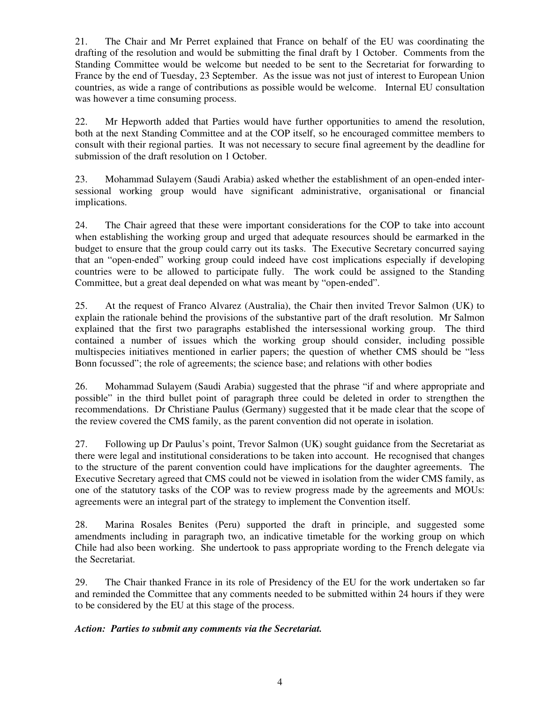21. The Chair and Mr Perret explained that France on behalf of the EU was coordinating the drafting of the resolution and would be submitting the final draft by 1 October. Comments from the Standing Committee would be welcome but needed to be sent to the Secretariat for forwarding to France by the end of Tuesday, 23 September. As the issue was not just of interest to European Union countries, as wide a range of contributions as possible would be welcome. Internal EU consultation was however a time consuming process.

22. Mr Hepworth added that Parties would have further opportunities to amend the resolution, both at the next Standing Committee and at the COP itself, so he encouraged committee members to consult with their regional parties. It was not necessary to secure final agreement by the deadline for submission of the draft resolution on 1 October.

23. Mohammad Sulayem (Saudi Arabia) asked whether the establishment of an open-ended intersessional working group would have significant administrative, organisational or financial implications.

24. The Chair agreed that these were important considerations for the COP to take into account when establishing the working group and urged that adequate resources should be earmarked in the budget to ensure that the group could carry out its tasks. The Executive Secretary concurred saying that an "open-ended" working group could indeed have cost implications especially if developing countries were to be allowed to participate fully. The work could be assigned to the Standing Committee, but a great deal depended on what was meant by "open-ended".

25. At the request of Franco Alvarez (Australia), the Chair then invited Trevor Salmon (UK) to explain the rationale behind the provisions of the substantive part of the draft resolution. Mr Salmon explained that the first two paragraphs established the intersessional working group. The third contained a number of issues which the working group should consider, including possible multispecies initiatives mentioned in earlier papers; the question of whether CMS should be "less Bonn focussed"; the role of agreements; the science base; and relations with other bodies

26. Mohammad Sulayem (Saudi Arabia) suggested that the phrase "if and where appropriate and possible" in the third bullet point of paragraph three could be deleted in order to strengthen the recommendations. Dr Christiane Paulus (Germany) suggested that it be made clear that the scope of the review covered the CMS family, as the parent convention did not operate in isolation.

27. Following up Dr Paulus's point, Trevor Salmon (UK) sought guidance from the Secretariat as there were legal and institutional considerations to be taken into account. He recognised that changes to the structure of the parent convention could have implications for the daughter agreements. The Executive Secretary agreed that CMS could not be viewed in isolation from the wider CMS family, as one of the statutory tasks of the COP was to review progress made by the agreements and MOUs: agreements were an integral part of the strategy to implement the Convention itself.

28. Marina Rosales Benites (Peru) supported the draft in principle, and suggested some amendments including in paragraph two, an indicative timetable for the working group on which Chile had also been working. She undertook to pass appropriate wording to the French delegate via the Secretariat.

29. The Chair thanked France in its role of Presidency of the EU for the work undertaken so far and reminded the Committee that any comments needed to be submitted within 24 hours if they were to be considered by the EU at this stage of the process.

#### *Action: Parties to submit any comments via the Secretariat.*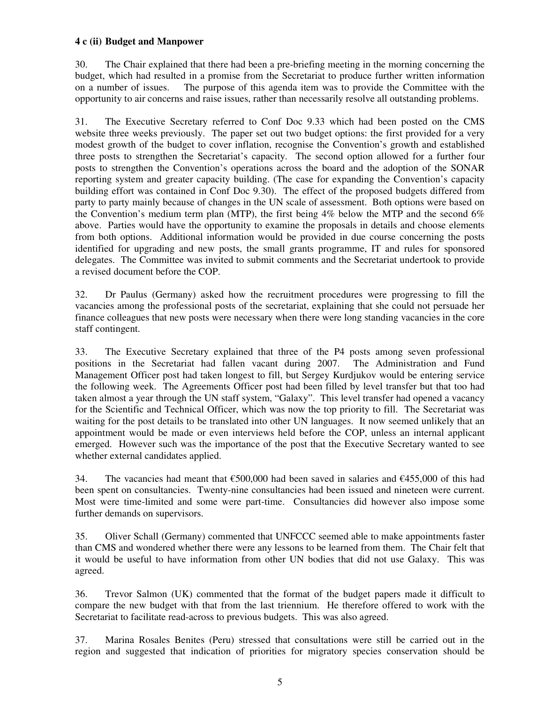#### **4 c (ii) Budget and Manpower**

30. The Chair explained that there had been a pre-briefing meeting in the morning concerning the budget, which had resulted in a promise from the Secretariat to produce further written information on a number of issues. The purpose of this agenda item was to provide the Committee with the opportunity to air concerns and raise issues, rather than necessarily resolve all outstanding problems.

31. The Executive Secretary referred to Conf Doc 9.33 which had been posted on the CMS website three weeks previously. The paper set out two budget options: the first provided for a very modest growth of the budget to cover inflation, recognise the Convention's growth and established three posts to strengthen the Secretariat's capacity. The second option allowed for a further four posts to strengthen the Convention's operations across the board and the adoption of the SONAR reporting system and greater capacity building. (The case for expanding the Convention's capacity building effort was contained in Conf Doc 9.30). The effect of the proposed budgets differed from party to party mainly because of changes in the UN scale of assessment. Both options were based on the Convention's medium term plan (MTP), the first being 4% below the MTP and the second 6% above. Parties would have the opportunity to examine the proposals in details and choose elements from both options. Additional information would be provided in due course concerning the posts identified for upgrading and new posts, the small grants programme, IT and rules for sponsored delegates. The Committee was invited to submit comments and the Secretariat undertook to provide a revised document before the COP.

32. Dr Paulus (Germany) asked how the recruitment procedures were progressing to fill the vacancies among the professional posts of the secretariat, explaining that she could not persuade her finance colleagues that new posts were necessary when there were long standing vacancies in the core staff contingent.

33. The Executive Secretary explained that three of the P4 posts among seven professional positions in the Secretariat had fallen vacant during 2007. The Administration and Fund Management Officer post had taken longest to fill, but Sergey Kurdjukov would be entering service the following week. The Agreements Officer post had been filled by level transfer but that too had taken almost a year through the UN staff system, "Galaxy". This level transfer had opened a vacancy for the Scientific and Technical Officer, which was now the top priority to fill. The Secretariat was waiting for the post details to be translated into other UN languages. It now seemed unlikely that an appointment would be made or even interviews held before the COP, unless an internal applicant emerged. However such was the importance of the post that the Executive Secretary wanted to see whether external candidates applied.

34. The vacancies had meant that  $\epsilon$ 500,000 had been saved in salaries and  $\epsilon$ 455,000 of this had been spent on consultancies. Twenty-nine consultancies had been issued and nineteen were current. Most were time-limited and some were part-time. Consultancies did however also impose some further demands on supervisors.

35. Oliver Schall (Germany) commented that UNFCCC seemed able to make appointments faster than CMS and wondered whether there were any lessons to be learned from them. The Chair felt that it would be useful to have information from other UN bodies that did not use Galaxy. This was agreed.

36. Trevor Salmon (UK) commented that the format of the budget papers made it difficult to compare the new budget with that from the last triennium. He therefore offered to work with the Secretariat to facilitate read-across to previous budgets. This was also agreed.

37. Marina Rosales Benites (Peru) stressed that consultations were still be carried out in the region and suggested that indication of priorities for migratory species conservation should be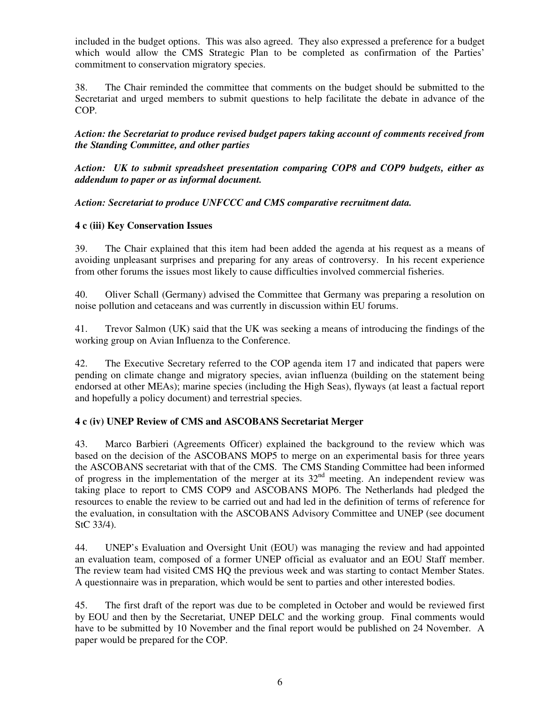included in the budget options. This was also agreed. They also expressed a preference for a budget which would allow the CMS Strategic Plan to be completed as confirmation of the Parties' commitment to conservation migratory species.

38. The Chair reminded the committee that comments on the budget should be submitted to the Secretariat and urged members to submit questions to help facilitate the debate in advance of the COP.

*Action: the Secretariat to produce revised budget papers taking account of comments received from the Standing Committee, and other parties* 

*Action: UK to submit spreadsheet presentation comparing COP8 and COP9 budgets, either as addendum to paper or as informal document.* 

*Action: Secretariat to produce UNFCCC and CMS comparative recruitment data.*

#### **4 c (iii) Key Conservation Issues**

39. The Chair explained that this item had been added the agenda at his request as a means of avoiding unpleasant surprises and preparing for any areas of controversy. In his recent experience from other forums the issues most likely to cause difficulties involved commercial fisheries.

40. Oliver Schall (Germany) advised the Committee that Germany was preparing a resolution on noise pollution and cetaceans and was currently in discussion within EU forums.

41. Trevor Salmon (UK) said that the UK was seeking a means of introducing the findings of the working group on Avian Influenza to the Conference.

42. The Executive Secretary referred to the COP agenda item 17 and indicated that papers were pending on climate change and migratory species, avian influenza (building on the statement being endorsed at other MEAs); marine species (including the High Seas), flyways (at least a factual report and hopefully a policy document) and terrestrial species.

#### **4 c (iv) UNEP Review of CMS and ASCOBANS Secretariat Merger**

43. Marco Barbieri (Agreements Officer) explained the background to the review which was based on the decision of the ASCOBANS MOP5 to merge on an experimental basis for three years the ASCOBANS secretariat with that of the CMS. The CMS Standing Committee had been informed of progress in the implementation of the merger at its  $32<sup>nd</sup>$  meeting. An independent review was taking place to report to CMS COP9 and ASCOBANS MOP6. The Netherlands had pledged the resources to enable the review to be carried out and had led in the definition of terms of reference for the evaluation, in consultation with the ASCOBANS Advisory Committee and UNEP (see document StC 33/4).

44. UNEP's Evaluation and Oversight Unit (EOU) was managing the review and had appointed an evaluation team, composed of a former UNEP official as evaluator and an EOU Staff member. The review team had visited CMS HQ the previous week and was starting to contact Member States. A questionnaire was in preparation, which would be sent to parties and other interested bodies.

45. The first draft of the report was due to be completed in October and would be reviewed first by EOU and then by the Secretariat, UNEP DELC and the working group. Final comments would have to be submitted by 10 November and the final report would be published on 24 November. A paper would be prepared for the COP.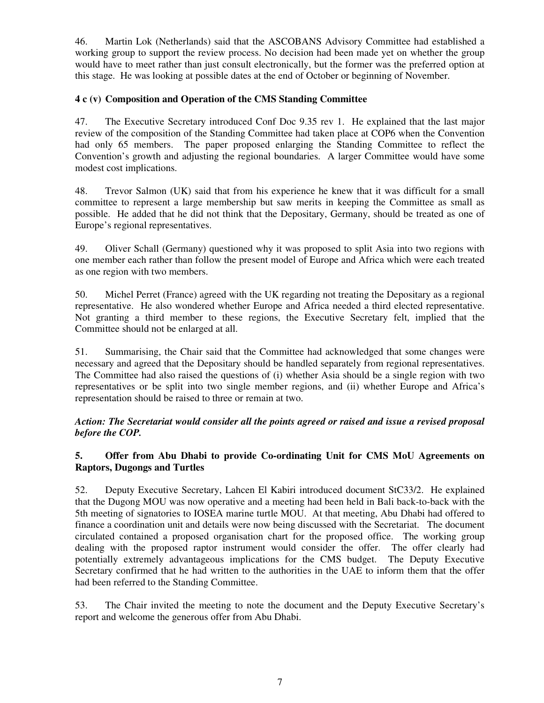46. Martin Lok (Netherlands) said that the ASCOBANS Advisory Committee had established a working group to support the review process. No decision had been made yet on whether the group would have to meet rather than just consult electronically, but the former was the preferred option at this stage. He was looking at possible dates at the end of October or beginning of November.

#### **4 c (v) Composition and Operation of the CMS Standing Committee**

47. The Executive Secretary introduced Conf Doc 9.35 rev 1. He explained that the last major review of the composition of the Standing Committee had taken place at COP6 when the Convention had only 65 members. The paper proposed enlarging the Standing Committee to reflect the Convention's growth and adjusting the regional boundaries. A larger Committee would have some modest cost implications.

48. Trevor Salmon (UK) said that from his experience he knew that it was difficult for a small committee to represent a large membership but saw merits in keeping the Committee as small as possible. He added that he did not think that the Depositary, Germany, should be treated as one of Europe's regional representatives.

49. Oliver Schall (Germany) questioned why it was proposed to split Asia into two regions with one member each rather than follow the present model of Europe and Africa which were each treated as one region with two members.

50. Michel Perret (France) agreed with the UK regarding not treating the Depositary as a regional representative. He also wondered whether Europe and Africa needed a third elected representative. Not granting a third member to these regions, the Executive Secretary felt, implied that the Committee should not be enlarged at all.

51. Summarising, the Chair said that the Committee had acknowledged that some changes were necessary and agreed that the Depositary should be handled separately from regional representatives. The Committee had also raised the questions of (i) whether Asia should be a single region with two representatives or be split into two single member regions, and (ii) whether Europe and Africa's representation should be raised to three or remain at two.

*Action: The Secretariat would consider all the points agreed or raised and issue a revised proposal before the COP.* 

#### **5. Offer from Abu Dhabi to provide Co-ordinating Unit for CMS MoU Agreements on Raptors, Dugongs and Turtles**

52. Deputy Executive Secretary, Lahcen El Kabiri introduced document StC33/2. He explained that the Dugong MOU was now operative and a meeting had been held in Bali back-to-back with the 5th meeting of signatories to IOSEA marine turtle MOU. At that meeting, Abu Dhabi had offered to finance a coordination unit and details were now being discussed with the Secretariat. The document circulated contained a proposed organisation chart for the proposed office. The working group dealing with the proposed raptor instrument would consider the offer. The offer clearly had potentially extremely advantageous implications for the CMS budget. The Deputy Executive Secretary confirmed that he had written to the authorities in the UAE to inform them that the offer had been referred to the Standing Committee.

53. The Chair invited the meeting to note the document and the Deputy Executive Secretary's report and welcome the generous offer from Abu Dhabi.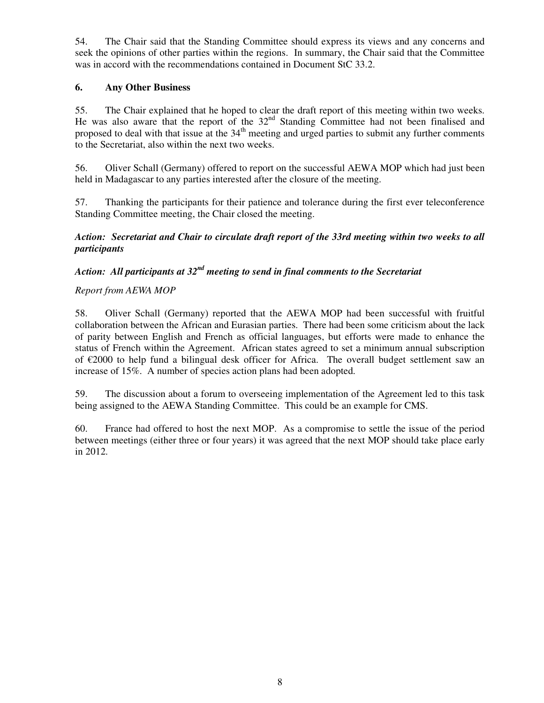54. The Chair said that the Standing Committee should express its views and any concerns and seek the opinions of other parties within the regions. In summary, the Chair said that the Committee was in accord with the recommendations contained in Document StC 33.2.

#### **6. Any Other Business**

55. The Chair explained that he hoped to clear the draft report of this meeting within two weeks. He was also aware that the report of the 32<sup>nd</sup> Standing Committee had not been finalised and proposed to deal with that issue at the  $34<sup>th</sup>$  meeting and urged parties to submit any further comments to the Secretariat, also within the next two weeks.

56. Oliver Schall (Germany) offered to report on the successful AEWA MOP which had just been held in Madagascar to any parties interested after the closure of the meeting.

57. Thanking the participants for their patience and tolerance during the first ever teleconference Standing Committee meeting, the Chair closed the meeting.

*Action: Secretariat and Chair to circulate draft report of the 33rd meeting within two weeks to all participants* 

### *Action: All participants at 32nd meeting to send in final comments to the Secretariat*

#### *Report from AEWA MOP*

58. Oliver Schall (Germany) reported that the AEWA MOP had been successful with fruitful collaboration between the African and Eurasian parties. There had been some criticism about the lack of parity between English and French as official languages, but efforts were made to enhance the status of French within the Agreement. African states agreed to set a minimum annual subscription of  $\epsilon$ 2000 to help fund a bilingual desk officer for Africa. The overall budget settlement saw an increase of 15%. A number of species action plans had been adopted.

59. The discussion about a forum to overseeing implementation of the Agreement led to this task being assigned to the AEWA Standing Committee. This could be an example for CMS.

60. France had offered to host the next MOP. As a compromise to settle the issue of the period between meetings (either three or four years) it was agreed that the next MOP should take place early in 2012.